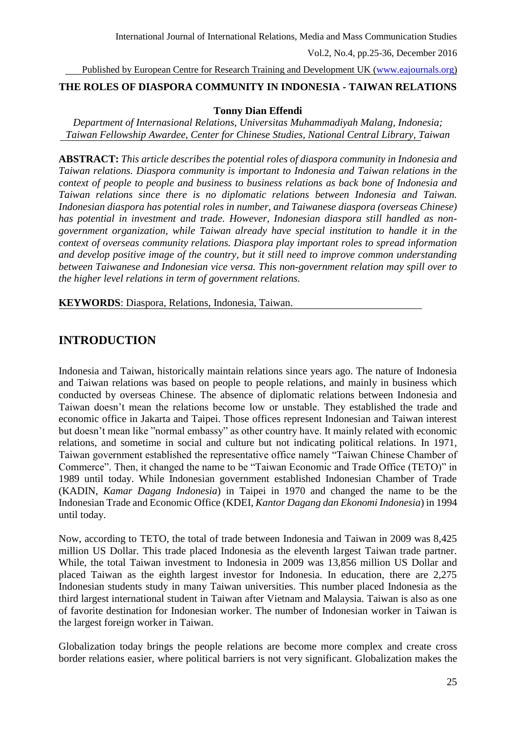Published by European Centre for Research Training and Development UK [\(www.eajournals.org\)](http://www.eajournals.org/)

# **THE ROLES OF DIASPORA COMMUNITY IN INDONESIA - TAIWAN RELATIONS**

# **Tonny Dian Effendi**

*Department of Internasional Relations, Universitas Muhammadiyah Malang, Indonesia; Taiwan Fellowship Awardee, Center for Chinese Studies, National Central Library, Taiwan*

**ABSTRACT:** *This article describes the potential roles of diaspora community in Indonesia and Taiwan relations. Diaspora community is important to Indonesia and Taiwan relations in the context of people to people and business to business relations as back bone of Indonesia and Taiwan relations since there is no diplomatic relations between Indonesia and Taiwan. Indonesian diaspora has potential roles in number, and Taiwanese diaspora (overseas Chinese) has potential in investment and trade. However, Indonesian diaspora still handled as nongovernment organization, while Taiwan already have special institution to handle it in the context of overseas community relations. Diaspora play important roles to spread information and develop positive image of the country, but it still need to improve common understanding between Taiwanese and Indonesian vice versa. This non-government relation may spill over to the higher level relations in term of government relations.*

**KEYWORDS**: Diaspora, Relations, Indonesia, Taiwan.

# **INTRODUCTION**

Indonesia and Taiwan, historically maintain relations since years ago. The nature of Indonesia and Taiwan relations was based on people to people relations, and mainly in business which conducted by overseas Chinese. The absence of diplomatic relations between Indonesia and Taiwan doesn't mean the relations become low or unstable. They established the trade and economic office in Jakarta and Taipei. Those offices represent Indonesian and Taiwan interest but doesn't mean like "normal embassy" as other country have. It mainly related with economic relations, and sometime in social and culture but not indicating political relations. In 1971, Taiwan government established the representative office namely "Taiwan Chinese Chamber of Commerce". Then, it changed the name to be "Taiwan Economic and Trade Office (TETO)" in 1989 until today. While Indonesian government established Indonesian Chamber of Trade (KADIN, *Kamar Dagang Indonesia*) in Taipei in 1970 and changed the name to be the Indonesian Trade and Economic Office (KDEI, *Kantor Dagang dan Ekonomi Indonesia*) in 1994 until today.

Now, according to TETO, the total of trade between Indonesia and Taiwan in 2009 was 8,425 million US Dollar. This trade placed Indonesia as the eleventh largest Taiwan trade partner. While, the total Taiwan investment to Indonesia in 2009 was 13,856 million US Dollar and placed Taiwan as the eighth largest investor for Indonesia. In education, there are 2,275 Indonesian students study in many Taiwan universities. This number placed Indonesia as the third largest international student in Taiwan after Vietnam and Malaysia. Taiwan is also as one of favorite destination for Indonesian worker. The number of Indonesian worker in Taiwan is the largest foreign worker in Taiwan.

Globalization today brings the people relations are become more complex and create cross border relations easier, where political barriers is not very significant. Globalization makes the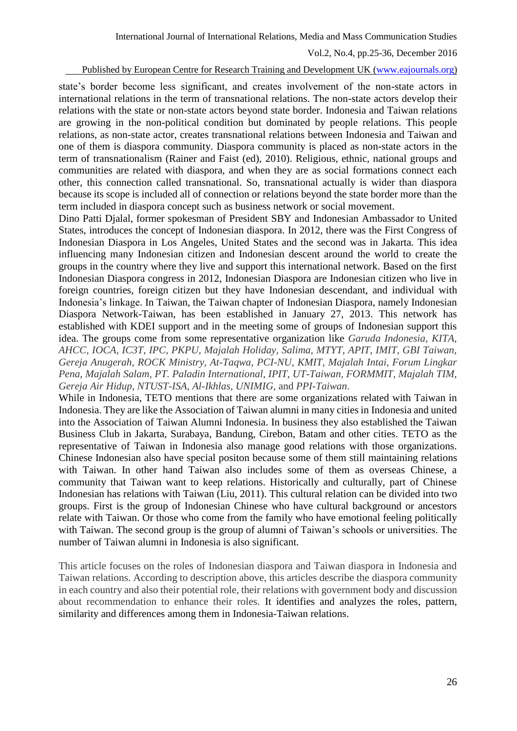#### Published by European Centre for Research Training and Development UK [\(www.eajournals.org\)](http://www.eajournals.org/)

state's border become less significant, and creates involvement of the non-state actors in international relations in the term of transnational relations. The non-state actors develop their relations with the state or non-state actors beyond state border. Indonesia and Taiwan relations are growing in the non-political condition but dominated by people relations. This people relations, as non-state actor, creates transnational relations between Indonesia and Taiwan and one of them is diaspora community. Diaspora community is placed as non-state actors in the term of transnationalism (Rainer and Faist (ed), 2010). Religious, ethnic, national groups and communities are related with diaspora, and when they are as social formations connect each other, this connection called transnational. So, transnational actually is wider than diaspora because its scope is included all of connection or relations beyond the state border more than the term included in diaspora concept such as business network or social movement.

Dino Patti Djalal, former spokesman of President SBY and Indonesian Ambassador to United States, introduces the concept of Indonesian diaspora. In 2012, there was the First Congress of Indonesian Diaspora in Los Angeles, United States and the second was in Jakarta. This idea influencing many Indonesian citizen and Indonesian descent around the world to create the groups in the country where they live and support this international network. Based on the first Indonesian Diaspora congress in 2012, Indonesian Diaspora are Indonesian citizen who live in foreign countries, foreign citizen but they have Indonesian descendant, and individual with Indonesia's linkage. In Taiwan, the Taiwan chapter of Indonesian Diaspora, namely Indonesian Diaspora Network-Taiwan, has been established in January 27, 2013. This network has established with KDEI support and in the meeting some of groups of Indonesian support this idea. The groups come from some representative organization like *Garuda Indonesia, KITA, AHCC, IOCA, IC3T, IPC, PKPU, Majalah Holiday, Salima, MTYT, APIT, IMIT, GBI Taiwan, Gereja Anugerah, ROCK Ministry, At-Taqwa, PCI-NU, KMIT, Majalah Intai, Forum Lingkar Pena, Majalah Salam, PT. Paladin International, IPIT, UT-Taiwan, FORMMIT, Majalah TIM, Gereja Air Hidup, NTUST-ISA, Al-Ikhlas, UNIMIG,* and *PPI-Taiwan*.

While in Indonesia, TETO mentions that there are some organizations related with Taiwan in Indonesia. They are like the Association of Taiwan alumni in many cities in Indonesia and united into the Association of Taiwan Alumni Indonesia. In business they also established the Taiwan Business Club in Jakarta, Surabaya, Bandung, Cirebon, Batam and other cities. TETO as the representative of Taiwan in Indonesia also manage good relations with those organizations. Chinese Indonesian also have special positon because some of them still maintaining relations with Taiwan. In other hand Taiwan also includes some of them as overseas Chinese, a community that Taiwan want to keep relations. Historically and culturally, part of Chinese Indonesian has relations with Taiwan (Liu, 2011). This cultural relation can be divided into two groups. First is the group of Indonesian Chinese who have cultural background or ancestors relate with Taiwan. Or those who come from the family who have emotional feeling politically with Taiwan. The second group is the group of alumni of Taiwan's schools or universities. The number of Taiwan alumni in Indonesia is also significant.

This article focuses on the roles of Indonesian diaspora and Taiwan diaspora in Indonesia and Taiwan relations. According to description above, this articles describe the diaspora community in each country and also their potential role, their relations with government body and discussion about recommendation to enhance their roles. It identifies and analyzes the roles, pattern, similarity and differences among them in Indonesia-Taiwan relations.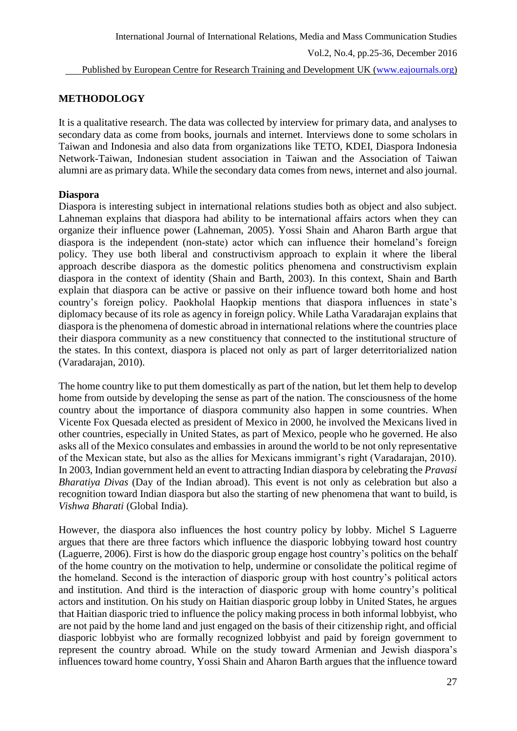# **METHODOLOGY**

It is a qualitative research. The data was collected by interview for primary data, and analyses to secondary data as come from books, journals and internet. Interviews done to some scholars in Taiwan and Indonesia and also data from organizations like TETO, KDEI, Diaspora Indonesia Network-Taiwan, Indonesian student association in Taiwan and the Association of Taiwan alumni are as primary data. While the secondary data comes from news, internet and also journal.

# **Diaspora**

Diaspora is interesting subject in international relations studies both as object and also subject. Lahneman explains that diaspora had ability to be international affairs actors when they can organize their influence power (Lahneman, 2005). Yossi Shain and Aharon Barth argue that diaspora is the independent (non-state) actor which can influence their homeland's foreign policy. They use both liberal and constructivism approach to explain it where the liberal approach describe diaspora as the domestic politics phenomena and constructivism explain diaspora in the context of identity (Shain and Barth, 2003). In this context, Shain and Barth explain that diaspora can be active or passive on their influence toward both home and host country's foreign policy. Paokholal Haopkip mentions that diaspora influences in state's diplomacy because of its role as agency in foreign policy. While Latha Varadarajan explains that diaspora is the phenomena of domestic abroad in international relations where the countries place their diaspora community as a new constituency that connected to the institutional structure of the states. In this context, diaspora is placed not only as part of larger deterritorialized nation (Varadarajan, 2010).

The home country like to put them domestically as part of the nation, but let them help to develop home from outside by developing the sense as part of the nation. The consciousness of the home country about the importance of diaspora community also happen in some countries. When Vicente Fox Quesada elected as president of Mexico in 2000, he involved the Mexicans lived in other countries, especially in United States, as part of Mexico, people who he governed. He also asks all of the Mexico consulates and embassies in around the world to be not only representative of the Mexican state, but also as the allies for Mexicans immigrant's right (Varadarajan, 2010). In 2003, Indian government held an event to attracting Indian diaspora by celebrating the *Pravasi Bharatiya Divas* (Day of the Indian abroad). This event is not only as celebration but also a recognition toward Indian diaspora but also the starting of new phenomena that want to build, is *Vishwa Bharati* (Global India).

However, the diaspora also influences the host country policy by lobby. Michel S Laguerre argues that there are three factors which influence the diasporic lobbying toward host country (Laguerre, 2006). First is how do the diasporic group engage host country's politics on the behalf of the home country on the motivation to help, undermine or consolidate the political regime of the homeland. Second is the interaction of diasporic group with host country's political actors and institution. And third is the interaction of diasporic group with home country's political actors and institution. On his study on Haitian diasporic group lobby in United States, he argues that Haitian diasporic tried to influence the policy making process in both informal lobbyist, who are not paid by the home land and just engaged on the basis of their citizenship right, and official diasporic lobbyist who are formally recognized lobbyist and paid by foreign government to represent the country abroad. While on the study toward Armenian and Jewish diaspora's influences toward home country, Yossi Shain and Aharon Barth argues that the influence toward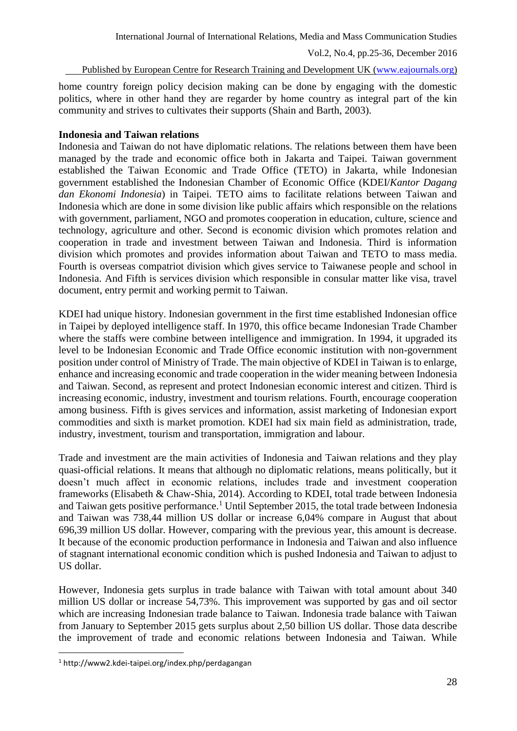#### Published by European Centre for Research Training and Development UK [\(www.eajournals.org\)](http://www.eajournals.org/)

home country foreign policy decision making can be done by engaging with the domestic politics, where in other hand they are regarder by home country as integral part of the kin community and strives to cultivates their supports (Shain and Barth, 2003).

# **Indonesia and Taiwan relations**

Indonesia and Taiwan do not have diplomatic relations. The relations between them have been managed by the trade and economic office both in Jakarta and Taipei. Taiwan government established the Taiwan Economic and Trade Office (TETO) in Jakarta, while Indonesian government established the Indonesian Chamber of Economic Office (KDEI/*Kantor Dagang dan Ekonomi Indonesia*) in Taipei. TETO aims to facilitate relations between Taiwan and Indonesia which are done in some division like public affairs which responsible on the relations with government, parliament, NGO and promotes cooperation in education, culture, science and technology, agriculture and other. Second is economic division which promotes relation and cooperation in trade and investment between Taiwan and Indonesia. Third is information division which promotes and provides information about Taiwan and TETO to mass media. Fourth is overseas compatriot division which gives service to Taiwanese people and school in Indonesia. And Fifth is services division which responsible in consular matter like visa, travel document, entry permit and working permit to Taiwan.

KDEI had unique history. Indonesian government in the first time established Indonesian office in Taipei by deployed intelligence staff. In 1970, this office became Indonesian Trade Chamber where the staffs were combine between intelligence and immigration. In 1994, it upgraded its level to be Indonesian Economic and Trade Office economic institution with non-government position under control of Ministry of Trade. The main objective of KDEI in Taiwan is to enlarge, enhance and increasing economic and trade cooperation in the wider meaning between Indonesia and Taiwan. Second, as represent and protect Indonesian economic interest and citizen. Third is increasing economic, industry, investment and tourism relations. Fourth, encourage cooperation among business. Fifth is gives services and information, assist marketing of Indonesian export commodities and sixth is market promotion. KDEI had six main field as administration, trade, industry, investment, tourism and transportation, immigration and labour.

Trade and investment are the main activities of Indonesia and Taiwan relations and they play quasi-official relations. It means that although no diplomatic relations, means politically, but it doesn't much affect in economic relations, includes trade and investment cooperation frameworks (Elisabeth & Chaw-Shia, 2014). According to KDEI, total trade between Indonesia and Taiwan gets positive performance.<sup>1</sup> Until September 2015, the total trade between Indonesia and Taiwan was 738,44 million US dollar or increase 6,04% compare in August that about 696,39 million US dollar. However, comparing with the previous year, this amount is decrease. It because of the economic production performance in Indonesia and Taiwan and also influence of stagnant international economic condition which is pushed Indonesia and Taiwan to adjust to US dollar.

However, Indonesia gets surplus in trade balance with Taiwan with total amount about 340 million US dollar or increase 54,73%. This improvement was supported by gas and oil sector which are increasing Indonesian trade balance to Taiwan. Indonesia trade balance with Taiwan from January to September 2015 gets surplus about 2,50 billion US dollar. Those data describe the improvement of trade and economic relations between Indonesia and Taiwan. While

<sup>1</sup> http://www2.kdei-taipei.org/index.php/perdagangan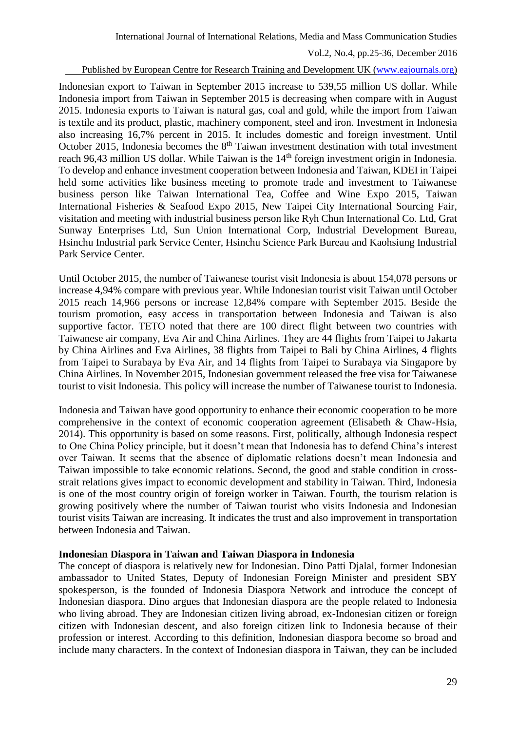### Published by European Centre for Research Training and Development UK [\(www.eajournals.org\)](http://www.eajournals.org/)

Indonesian export to Taiwan in September 2015 increase to 539,55 million US dollar. While Indonesia import from Taiwan in September 2015 is decreasing when compare with in August 2015. Indonesia exports to Taiwan is natural gas, coal and gold, while the import from Taiwan is textile and its product, plastic, machinery component, steel and iron. Investment in Indonesia also increasing 16,7% percent in 2015. It includes domestic and foreign investment. Until October 2015, Indonesia becomes the  $8<sup>th</sup>$  Taiwan investment destination with total investment reach 96,43 million US dollar. While Taiwan is the 14<sup>th</sup> foreign investment origin in Indonesia. To develop and enhance investment cooperation between Indonesia and Taiwan, KDEI in Taipei held some activities like business meeting to promote trade and investment to Taiwanese business person like Taiwan International Tea, Coffee and Wine Expo 2015, Taiwan International Fisheries & Seafood Expo 2015, New Taipei City International Sourcing Fair, visitation and meeting with industrial business person like Ryh Chun International Co. Ltd, Grat Sunway Enterprises Ltd, Sun Union International Corp, Industrial Development Bureau, Hsinchu Industrial park Service Center, Hsinchu Science Park Bureau and Kaohsiung Industrial Park Service Center.

Until October 2015, the number of Taiwanese tourist visit Indonesia is about 154,078 persons or increase 4,94% compare with previous year. While Indonesian tourist visit Taiwan until October 2015 reach 14,966 persons or increase 12,84% compare with September 2015. Beside the tourism promotion, easy access in transportation between Indonesia and Taiwan is also supportive factor. TETO noted that there are 100 direct flight between two countries with Taiwanese air company, Eva Air and China Airlines. They are 44 flights from Taipei to Jakarta by China Airlines and Eva Airlines, 38 flights from Taipei to Bali by China Airlines, 4 flights from Taipei to Surabaya by Eva Air, and 14 flights from Taipei to Surabaya via Singapore by China Airlines. In November 2015, Indonesian government released the free visa for Taiwanese tourist to visit Indonesia. This policy will increase the number of Taiwanese tourist to Indonesia.

Indonesia and Taiwan have good opportunity to enhance their economic cooperation to be more comprehensive in the context of economic cooperation agreement (Elisabeth & Chaw-Hsia, 2014). This opportunity is based on some reasons. First, politically, although Indonesia respect to One China Policy principle, but it doesn't mean that Indonesia has to defend China's interest over Taiwan. It seems that the absence of diplomatic relations doesn't mean Indonesia and Taiwan impossible to take economic relations. Second, the good and stable condition in crossstrait relations gives impact to economic development and stability in Taiwan. Third, Indonesia is one of the most country origin of foreign worker in Taiwan. Fourth, the tourism relation is growing positively where the number of Taiwan tourist who visits Indonesia and Indonesian tourist visits Taiwan are increasing. It indicates the trust and also improvement in transportation between Indonesia and Taiwan.

### **Indonesian Diaspora in Taiwan and Taiwan Diaspora in Indonesia**

The concept of diaspora is relatively new for Indonesian. Dino Patti Djalal, former Indonesian ambassador to United States, Deputy of Indonesian Foreign Minister and president SBY spokesperson, is the founded of Indonesia Diaspora Network and introduce the concept of Indonesian diaspora. Dino argues that Indonesian diaspora are the people related to Indonesia who living abroad. They are Indonesian citizen living abroad, ex-Indonesian citizen or foreign citizen with Indonesian descent, and also foreign citizen link to Indonesia because of their profession or interest. According to this definition, Indonesian diaspora become so broad and include many characters. In the context of Indonesian diaspora in Taiwan, they can be included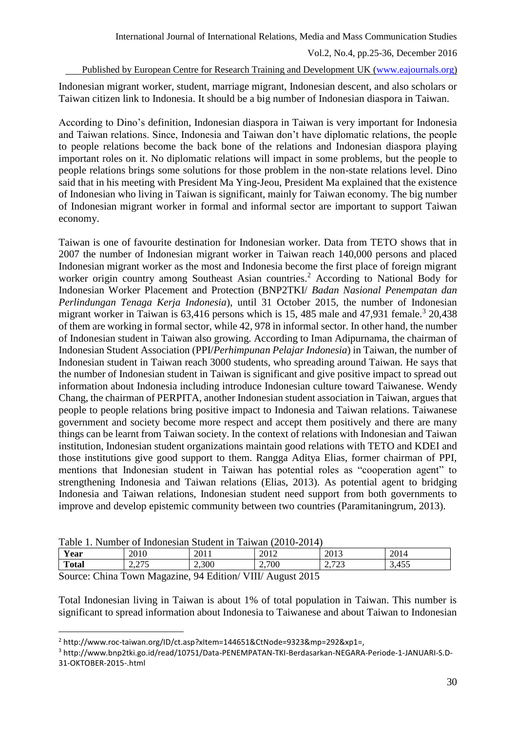### Published by European Centre for Research Training and Development UK [\(www.eajournals.org\)](http://www.eajournals.org/)

Indonesian migrant worker, student, marriage migrant, Indonesian descent, and also scholars or Taiwan citizen link to Indonesia. It should be a big number of Indonesian diaspora in Taiwan.

According to Dino's definition, Indonesian diaspora in Taiwan is very important for Indonesia and Taiwan relations. Since, Indonesia and Taiwan don't have diplomatic relations, the people to people relations become the back bone of the relations and Indonesian diaspora playing important roles on it. No diplomatic relations will impact in some problems, but the people to people relations brings some solutions for those problem in the non-state relations level. Dino said that in his meeting with President Ma Ying-Jeou, President Ma explained that the existence of Indonesian who living in Taiwan is significant, mainly for Taiwan economy. The big number of Indonesian migrant worker in formal and informal sector are important to support Taiwan economy.

Taiwan is one of favourite destination for Indonesian worker. Data from TETO shows that in 2007 the number of Indonesian migrant worker in Taiwan reach 140,000 persons and placed Indonesian migrant worker as the most and Indonesia become the first place of foreign migrant worker origin country among Southeast Asian countries.<sup>2</sup> According to National Body for Indonesian Worker Placement and Protection (BNP2TKI/ *Badan Nasional Penempatan dan Perlindungan Tenaga Kerja Indonesia*), until 31 October 2015, the number of Indonesian migrant worker in Taiwan is  $63,416$  persons which is 15, 485 male and  $47,931$  female.<sup>3</sup> 20,438 of them are working in formal sector, while 42, 978 in informal sector. In other hand, the number of Indonesian student in Taiwan also growing. According to Iman Adipurnama, the chairman of Indonesian Student Association (PPI/*Perhimpunan Pelajar Indonesia*) in Taiwan, the number of Indonesian student in Taiwan reach 3000 students, who spreading around Taiwan. He says that the number of Indonesian student in Taiwan is significant and give positive impact to spread out information about Indonesia including introduce Indonesian culture toward Taiwanese. Wendy Chang, the chairman of PERPITA, another Indonesian student association in Taiwan, argues that people to people relations bring positive impact to Indonesia and Taiwan relations. Taiwanese government and society become more respect and accept them positively and there are many things can be learnt from Taiwan society. In the context of relations with Indonesian and Taiwan institution, Indonesian student organizations maintain good relations with TETO and KDEI and those institutions give good support to them. Rangga Aditya Elias, former chairman of PPI, mentions that Indonesian student in Taiwan has potential roles as "cooperation agent" to strengthening Indonesia and Taiwan relations (Elias, 2013). As potential agent to bridging Indonesia and Taiwan relations, Indonesian student need support from both governments to improve and develop epistemic community between two countries (Paramitaningrum, 2013).

| Table<br>Number of Indonesian Student in Taiwan (2010-2014) |               |                |      |  |                       |  |                         |                                     |                         |       |  |
|-------------------------------------------------------------|---------------|----------------|------|--|-----------------------|--|-------------------------|-------------------------------------|-------------------------|-------|--|
| Year                                                        |               | 2010           |      |  | 2011                  |  | 2012                    |                                     | 2013                    | 2014  |  |
| <b>Total</b>                                                |               | ل ایک م        | דר ר |  | 2,300                 |  | 2,700                   |                                     | 2722<br>ر ے<br><u>.</u> | 3,455 |  |
| $\sim$                                                      | $\sim$ $\sim$ | $\overline{ }$ |      |  | $0.4$ m $1^{\circ}$ . |  | $1$ T $7$ T T $1$ $\pm$ | $. \bullet \bullet \bullet \bullet$ |                         |       |  |

Table 1. Number of Indonesian Student in Taiwan (2010-2014)

Source: China Town Magazine, 94 Edition/ VIII/ August 2015

 $\overline{a}$ 

Total Indonesian living in Taiwan is about 1% of total population in Taiwan. This number is significant to spread information about Indonesia to Taiwanese and about Taiwan to Indonesian

<sup>&</sup>lt;sup>2</sup> http://www.roc-taiwan.org/ID/ct.asp?xItem=144651&CtNode=9323&mp=292&xp1=,

<sup>3</sup> http://www.bnp2tki.go.id/read/10751/Data-PENEMPATAN-TKI-Berdasarkan-NEGARA-Periode-1-JANUARI-S.D-31-OKTOBER-2015-.html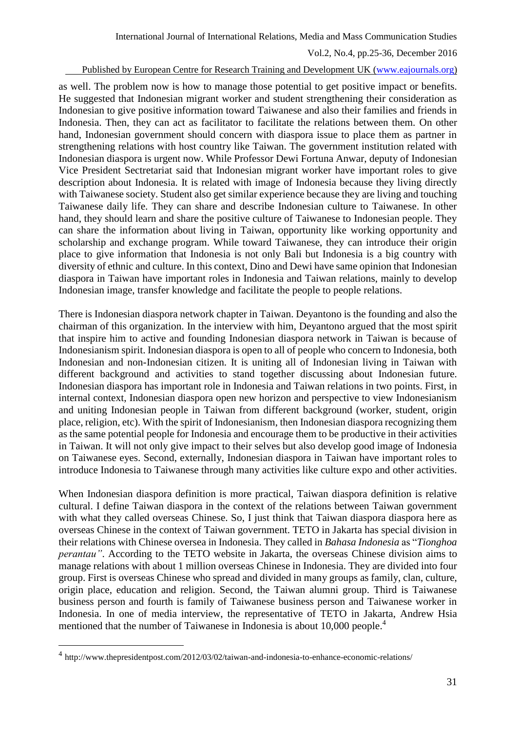#### Published by European Centre for Research Training and Development UK [\(www.eajournals.org\)](http://www.eajournals.org/)

as well. The problem now is how to manage those potential to get positive impact or benefits. He suggested that Indonesian migrant worker and student strengthening their consideration as Indonesian to give positive information toward Taiwanese and also their families and friends in Indonesia. Then, they can act as facilitator to facilitate the relations between them. On other hand, Indonesian government should concern with diaspora issue to place them as partner in strengthening relations with host country like Taiwan. The government institution related with Indonesian diaspora is urgent now. While Professor Dewi Fortuna Anwar, deputy of Indonesian Vice President Sectretariat said that Indonesian migrant worker have important roles to give description about Indonesia. It is related with image of Indonesia because they living directly with Taiwanese society. Student also get similar experience because they are living and touching Taiwanese daily life. They can share and describe Indonesian culture to Taiwanese. In other hand, they should learn and share the positive culture of Taiwanese to Indonesian people. They can share the information about living in Taiwan, opportunity like working opportunity and scholarship and exchange program. While toward Taiwanese, they can introduce their origin place to give information that Indonesia is not only Bali but Indonesia is a big country with diversity of ethnic and culture. In this context, Dino and Dewi have same opinion that Indonesian diaspora in Taiwan have important roles in Indonesia and Taiwan relations, mainly to develop Indonesian image, transfer knowledge and facilitate the people to people relations.

There is Indonesian diaspora network chapter in Taiwan. Deyantono is the founding and also the chairman of this organization. In the interview with him, Deyantono argued that the most spirit that inspire him to active and founding Indonesian diaspora network in Taiwan is because of Indonesianism spirit. Indonesian diaspora is open to all of people who concern to Indonesia, both Indonesian and non-Indonesian citizen. It is uniting all of Indonesian living in Taiwan with different background and activities to stand together discussing about Indonesian future. Indonesian diaspora has important role in Indonesia and Taiwan relations in two points. First, in internal context, Indonesian diaspora open new horizon and perspective to view Indonesianism and uniting Indonesian people in Taiwan from different background (worker, student, origin place, religion, etc). With the spirit of Indonesianism, then Indonesian diaspora recognizing them as the same potential people for Indonesia and encourage them to be productive in their activities in Taiwan. It will not only give impact to their selves but also develop good image of Indonesia on Taiwanese eyes. Second, externally, Indonesian diaspora in Taiwan have important roles to introduce Indonesia to Taiwanese through many activities like culture expo and other activities.

When Indonesian diaspora definition is more practical, Taiwan diaspora definition is relative cultural. I define Taiwan diaspora in the context of the relations between Taiwan government with what they called overseas Chinese. So, I just think that Taiwan diaspora diaspora here as overseas Chinese in the context of Taiwan government. TETO in Jakarta has special division in their relations with Chinese oversea in Indonesia. They called in *Bahasa Indonesia* as "*Tionghoa perantau"*. According to the TETO website in Jakarta, the overseas Chinese division aims to manage relations with about 1 million overseas Chinese in Indonesia. They are divided into four group. First is overseas Chinese who spread and divided in many groups as family, clan, culture, origin place, education and religion. Second, the Taiwan alumni group. Third is Taiwanese business person and fourth is family of Taiwanese business person and Taiwanese worker in Indonesia. In one of media interview, the representative of TETO in Jakarta, Andrew Hsia mentioned that the number of Taiwanese in Indonesia is about 10,000 people.<sup>4</sup>

<sup>&</sup>lt;sup>4</sup> <http://www.thepresidentpost.com/2012/03/02/taiwan-and-indonesia-to-enhance-economic-relations/>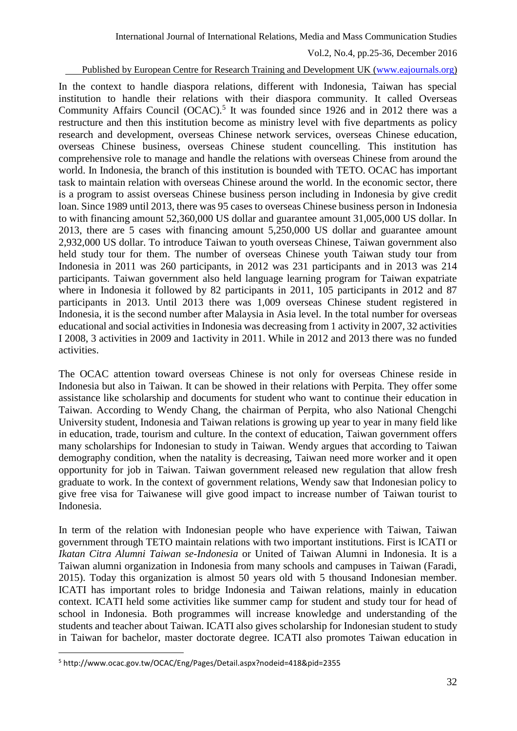#### Published by European Centre for Research Training and Development UK [\(www.eajournals.org\)](http://www.eajournals.org/)

In the context to handle diaspora relations, different with Indonesia, Taiwan has special institution to handle their relations with their diaspora community. It called Overseas Community Affairs Council (OCAC).<sup>5</sup> It was founded since 1926 and in 2012 there was a restructure and then this institution become as ministry level with five departments as policy research and development, overseas Chinese network services, overseas Chinese education, overseas Chinese business, overseas Chinese student councelling. This institution has comprehensive role to manage and handle the relations with overseas Chinese from around the world. In Indonesia, the branch of this institution is bounded with TETO. OCAC has important task to maintain relation with overseas Chinese around the world. In the economic sector, there is a program to assist overseas Chinese business person including in Indonesia by give credit loan. Since 1989 until 2013, there was 95 cases to overseas Chinese business person in Indonesia to with financing amount 52,360,000 US dollar and guarantee amount 31,005,000 US dollar. In 2013, there are 5 cases with financing amount 5,250,000 US dollar and guarantee amount 2,932,000 US dollar. To introduce Taiwan to youth overseas Chinese, Taiwan government also held study tour for them. The number of overseas Chinese youth Taiwan study tour from Indonesia in 2011 was 260 participants, in 2012 was 231 participants and in 2013 was 214 participants. Taiwan government also held language learning program for Taiwan expatriate where in Indonesia it followed by 82 participants in 2011, 105 participants in 2012 and 87 participants in 2013. Until 2013 there was 1,009 overseas Chinese student registered in Indonesia, it is the second number after Malaysia in Asia level. In the total number for overseas educational and social activities in Indonesia was decreasing from 1 activity in 2007, 32 activities I 2008, 3 activities in 2009 and 1activity in 2011. While in 2012 and 2013 there was no funded activities.

The OCAC attention toward overseas Chinese is not only for overseas Chinese reside in Indonesia but also in Taiwan. It can be showed in their relations with Perpita. They offer some assistance like scholarship and documents for student who want to continue their education in Taiwan. According to Wendy Chang, the chairman of Perpita, who also National Chengchi University student, Indonesia and Taiwan relations is growing up year to year in many field like in education, trade, tourism and culture. In the context of education, Taiwan government offers many scholarships for Indonesian to study in Taiwan. Wendy argues that according to Taiwan demography condition, when the natality is decreasing, Taiwan need more worker and it open opportunity for job in Taiwan. Taiwan government released new regulation that allow fresh graduate to work. In the context of government relations, Wendy saw that Indonesian policy to give free visa for Taiwanese will give good impact to increase number of Taiwan tourist to Indonesia.

In term of the relation with Indonesian people who have experience with Taiwan, Taiwan government through TETO maintain relations with two important institutions. First is ICATI or *Ikatan Citra Alumni Taiwan se-Indonesia* or United of Taiwan Alumni in Indonesia. It is a Taiwan alumni organization in Indonesia from many schools and campuses in Taiwan (Faradi, 2015). Today this organization is almost 50 years old with 5 thousand Indonesian member. ICATI has important roles to bridge Indonesia and Taiwan relations, mainly in education context. ICATI held some activities like summer camp for student and study tour for head of school in Indonesia. Both programmes will increase knowledge and understanding of the students and teacher about Taiwan. ICATI also gives scholarship for Indonesian student to study in Taiwan for bachelor, master doctorate degree. ICATI also promotes Taiwan education in

<sup>5</sup> http://www.ocac.gov.tw/OCAC/Eng/Pages/Detail.aspx?nodeid=418&pid=2355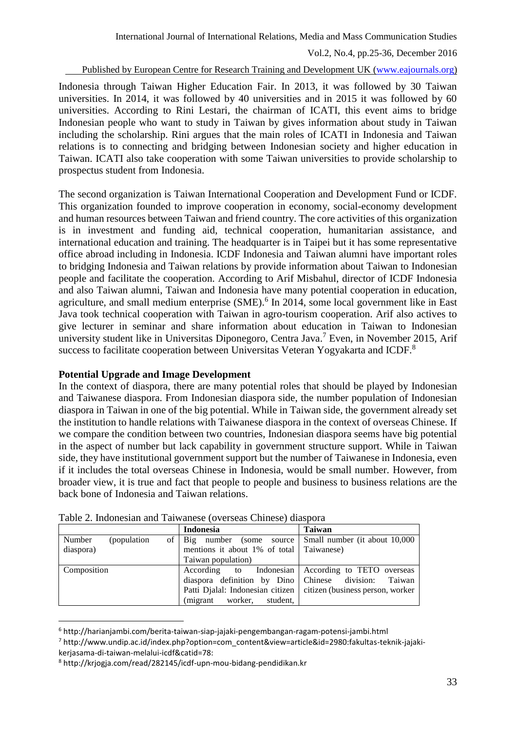Published by European Centre for Research Training and Development UK [\(www.eajournals.org\)](http://www.eajournals.org/)

Indonesia through Taiwan Higher Education Fair. In 2013, it was followed by 30 Taiwan universities. In 2014, it was followed by 40 universities and in 2015 it was followed by 60 universities. According to Rini Lestari, the chairman of ICATI, this event aims to bridge Indonesian people who want to study in Taiwan by gives information about study in Taiwan including the scholarship. Rini argues that the main roles of ICATI in Indonesia and Taiwan relations is to connecting and bridging between Indonesian society and higher education in Taiwan. ICATI also take cooperation with some Taiwan universities to provide scholarship to prospectus student from Indonesia.

The second organization is Taiwan International Cooperation and Development Fund or ICDF. This organization founded to improve cooperation in economy, social-economy development and human resources between Taiwan and friend country. The core activities of this organization is in investment and funding aid, technical cooperation, humanitarian assistance, and international education and training. The headquarter is in Taipei but it has some representative office abroad including in Indonesia. ICDF Indonesia and Taiwan alumni have important roles to bridging Indonesia and Taiwan relations by provide information about Taiwan to Indonesian people and facilitate the cooperation. According to Arif Misbahul, director of ICDF Indonesia and also Taiwan alumni, Taiwan and Indonesia have many potential cooperation in education, agriculture, and small medium enterprise (SME).<sup>6</sup> In 2014, some local government like in East Java took technical cooperation with Taiwan in agro-tourism cooperation. Arif also actives to give lecturer in seminar and share information about education in Taiwan to Indonesian university student like in Universitas Diponegoro, Centra Java. <sup>7</sup> Even, in November 2015, Arif success to facilitate cooperation between Universitas Veteran Yogyakarta and ICDF.<sup>8</sup>

### **Potential Upgrade and Image Development**

In the context of diaspora, there are many potential roles that should be played by Indonesian and Taiwanese diaspora. From Indonesian diaspora side, the number population of Indonesian diaspora in Taiwan in one of the big potential. While in Taiwan side, the government already set the institution to handle relations with Taiwanese diaspora in the context of overseas Chinese. If we compare the condition between two countries, Indonesian diaspora seems have big potential in the aspect of number but lack capability in government structure support. While in Taiwan side, they have institutional government support but the number of Taiwanese in Indonesia, even if it includes the total overseas Chinese in Indonesia, would be small number. However, from broader view, it is true and fact that people to people and business to business relations are the back bone of Indonesia and Taiwan relations.

|                        | <b>Indonesia</b>                                             | <b>Taiwan</b>                                                       |
|------------------------|--------------------------------------------------------------|---------------------------------------------------------------------|
| Number<br>(population) | of   Big number (some source   Small number (it about 10,000 |                                                                     |
| diaspora)              | mentions it about 1% of total Taiwanese)                     |                                                                     |
|                        | Taiwan population)                                           |                                                                     |
| Composition            |                                                              | According to Indonesian According to TETO overseas                  |
|                        | diaspora definition by Dino Chinese division: Taiwan         |                                                                     |
|                        |                                                              | Patti Djalal: Indonesian citizen   citizen (business person, worker |
|                        | (migrant worker, student,                                    |                                                                     |

Table 2. Indonesian and Taiwanese (overseas Chinese) diaspora

<sup>6</sup> http://harianjambi.com/berita-taiwan-siap-jajaki-pengembangan-ragam-potensi-jambi.html

<sup>7</sup> http://www.undip.ac.id/index.php?option=com\_content&view=article&id=2980:fakultas-teknik-jajakikerjasama-di-taiwan-melalui-icdf&catid=78:

<sup>8</sup> http://krjogja.com/read/282145/icdf-upn-mou-bidang-pendidikan.kr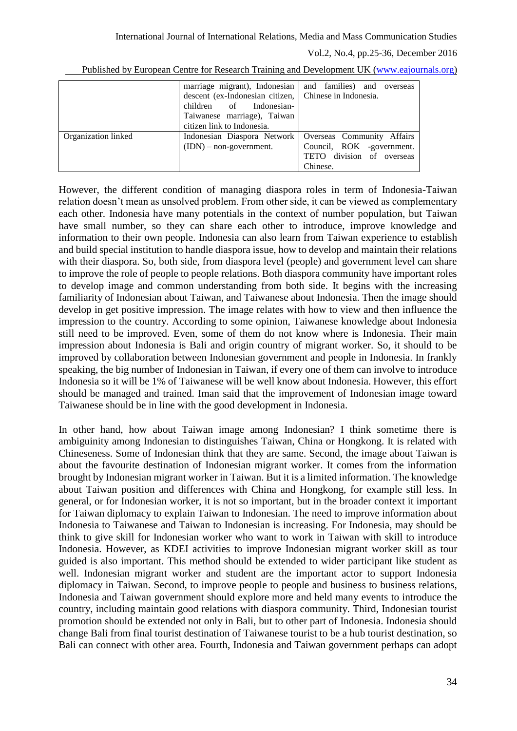| marriage migrant), Indonesian                           | and families) and overseas |  |  |
|---------------------------------------------------------|----------------------------|--|--|
| descent (ex-Indonesian citizen,   Chinese in Indonesia. |                            |  |  |
| children of Indonesian-                                 |                            |  |  |
| Taiwanese marriage), Taiwan                             |                            |  |  |
| citizen link to Indonesia.                              |                            |  |  |
| Indonesian Diaspora Network                             | Overseas Community Affairs |  |  |
| $(IDN)$ – non-government.                               | Council, ROK -government.  |  |  |
|                                                         | TETO division of overseas  |  |  |
|                                                         | Chinese.                   |  |  |
|                                                         |                            |  |  |

Published by European Centre for Research Training and Development UK [\(www.eajournals.org\)](http://www.eajournals.org/)

However, the different condition of managing diaspora roles in term of Indonesia-Taiwan relation doesn't mean as unsolved problem. From other side, it can be viewed as complementary each other. Indonesia have many potentials in the context of number population, but Taiwan have small number, so they can share each other to introduce, improve knowledge and information to their own people. Indonesia can also learn from Taiwan experience to establish and build special institution to handle diaspora issue, how to develop and maintain their relations with their diaspora. So, both side, from diaspora level (people) and government level can share to improve the role of people to people relations. Both diaspora community have important roles to develop image and common understanding from both side. It begins with the increasing familiarity of Indonesian about Taiwan, and Taiwanese about Indonesia. Then the image should develop in get positive impression. The image relates with how to view and then influence the impression to the country. According to some opinion, Taiwanese knowledge about Indonesia still need to be improved. Even, some of them do not know where is Indonesia. Their main impression about Indonesia is Bali and origin country of migrant worker. So, it should to be improved by collaboration between Indonesian government and people in Indonesia. In frankly speaking, the big number of Indonesian in Taiwan, if every one of them can involve to introduce Indonesia so it will be 1% of Taiwanese will be well know about Indonesia. However, this effort should be managed and trained. Iman said that the improvement of Indonesian image toward Taiwanese should be in line with the good development in Indonesia.

In other hand, how about Taiwan image among Indonesian? I think sometime there is ambiguinity among Indonesian to distinguishes Taiwan, China or Hongkong. It is related with Chineseness. Some of Indonesian think that they are same. Second, the image about Taiwan is about the favourite destination of Indonesian migrant worker. It comes from the information brought by Indonesian migrant worker in Taiwan. But it is a limited information. The knowledge about Taiwan position and differences with China and Hongkong, for example still less. In general, or for Indonesian worker, it is not so important, but in the broader context it important for Taiwan diplomacy to explain Taiwan to Indonesian. The need to improve information about Indonesia to Taiwanese and Taiwan to Indonesian is increasing. For Indonesia, may should be think to give skill for Indonesian worker who want to work in Taiwan with skill to introduce Indonesia. However, as KDEI activities to improve Indonesian migrant worker skill as tour guided is also important. This method should be extended to wider participant like student as well. Indonesian migrant worker and student are the important actor to support Indonesia diplomacy in Taiwan. Second, to improve people to people and business to business relations, Indonesia and Taiwan government should explore more and held many events to introduce the country, including maintain good relations with diaspora community. Third, Indonesian tourist promotion should be extended not only in Bali, but to other part of Indonesia. Indonesia should change Bali from final tourist destination of Taiwanese tourist to be a hub tourist destination, so Bali can connect with other area. Fourth, Indonesia and Taiwan government perhaps can adopt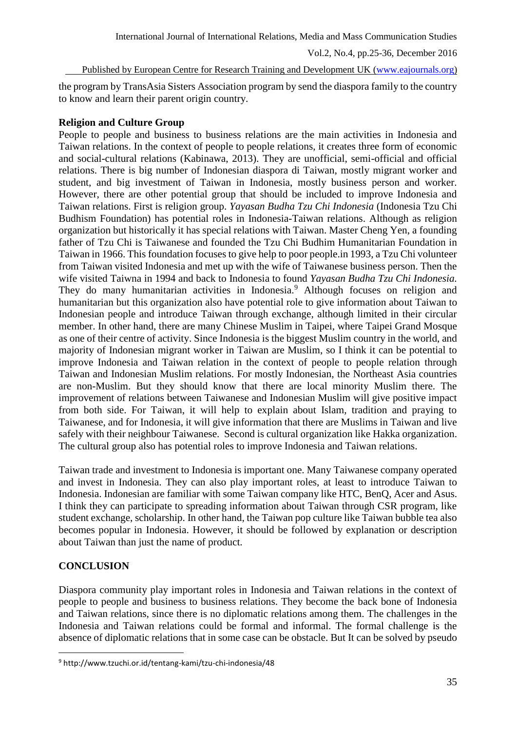Published by European Centre for Research Training and Development UK [\(www.eajournals.org\)](http://www.eajournals.org/)

the program by TransAsia Sisters Association program by send the diaspora family to the country to know and learn their parent origin country.

# **Religion and Culture Group**

People to people and business to business relations are the main activities in Indonesia and Taiwan relations. In the context of people to people relations, it creates three form of economic and social-cultural relations (Kabinawa, 2013). They are unofficial, semi-official and official relations. There is big number of Indonesian diaspora di Taiwan, mostly migrant worker and student, and big investment of Taiwan in Indonesia, mostly business person and worker. However, there are other potential group that should be included to improve Indonesia and Taiwan relations. First is religion group. *Yayasan Budha Tzu Chi Indonesia* (Indonesia Tzu Chi Budhism Foundation) has potential roles in Indonesia-Taiwan relations. Although as religion organization but historically it has special relations with Taiwan. Master Cheng Yen, a founding father of Tzu Chi is Taiwanese and founded the Tzu Chi Budhim Humanitarian Foundation in Taiwan in 1966. This foundation focuses to give help to poor people.in 1993, a Tzu Chi volunteer from Taiwan visited Indonesia and met up with the wife of Taiwanese business person. Then the wife visited Taiwna in 1994 and back to Indonesia to found *Yayasan Budha Tzu Chi Indonesia.* They do many humanitarian activities in Indonesia.<sup>9</sup> Although focuses on religion and humanitarian but this organization also have potential role to give information about Taiwan to Indonesian people and introduce Taiwan through exchange, although limited in their circular member. In other hand, there are many Chinese Muslim in Taipei, where Taipei Grand Mosque as one of their centre of activity. Since Indonesia is the biggest Muslim country in the world, and majority of Indonesian migrant worker in Taiwan are Muslim, so I think it can be potential to improve Indonesia and Taiwan relation in the context of people to people relation through Taiwan and Indonesian Muslim relations. For mostly Indonesian, the Northeast Asia countries are non-Muslim. But they should know that there are local minority Muslim there. The improvement of relations between Taiwanese and Indonesian Muslim will give positive impact from both side. For Taiwan, it will help to explain about Islam, tradition and praying to Taiwanese, and for Indonesia, it will give information that there are Muslims in Taiwan and live safely with their neighbour Taiwanese. Second is cultural organization like Hakka organization. The cultural group also has potential roles to improve Indonesia and Taiwan relations.

Taiwan trade and investment to Indonesia is important one. Many Taiwanese company operated and invest in Indonesia. They can also play important roles, at least to introduce Taiwan to Indonesia. Indonesian are familiar with some Taiwan company like HTC, BenQ, Acer and Asus. I think they can participate to spreading information about Taiwan through CSR program, like student exchange, scholarship. In other hand, the Taiwan pop culture like Taiwan bubble tea also becomes popular in Indonesia. However, it should be followed by explanation or description about Taiwan than just the name of product.

# **CONCLUSION**

 $\overline{a}$ 

Diaspora community play important roles in Indonesia and Taiwan relations in the context of people to people and business to business relations. They become the back bone of Indonesia and Taiwan relations, since there is no diplomatic relations among them. The challenges in the Indonesia and Taiwan relations could be formal and informal. The formal challenge is the absence of diplomatic relations that in some case can be obstacle. But It can be solved by pseudo

<sup>9</sup> http://www.tzuchi.or.id/tentang-kami/tzu-chi-indonesia/48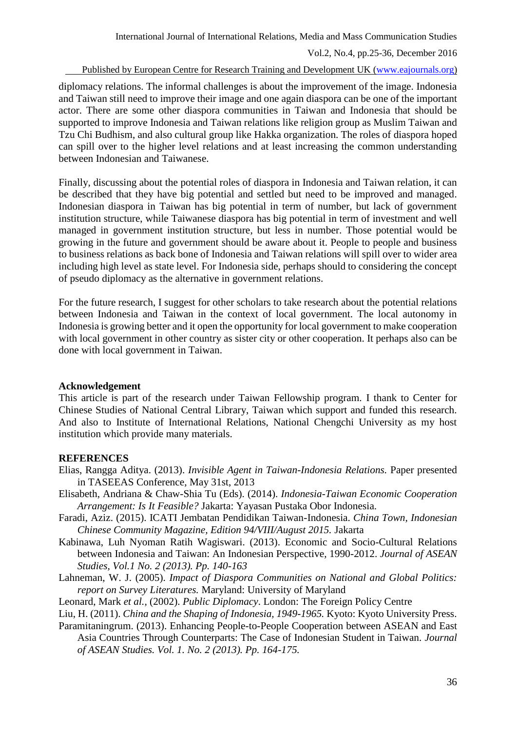#### Published by European Centre for Research Training and Development UK [\(www.eajournals.org\)](http://www.eajournals.org/)

diplomacy relations. The informal challenges is about the improvement of the image. Indonesia and Taiwan still need to improve their image and one again diaspora can be one of the important actor. There are some other diaspora communities in Taiwan and Indonesia that should be supported to improve Indonesia and Taiwan relations like religion group as Muslim Taiwan and Tzu Chi Budhism, and also cultural group like Hakka organization. The roles of diaspora hoped can spill over to the higher level relations and at least increasing the common understanding between Indonesian and Taiwanese.

Finally, discussing about the potential roles of diaspora in Indonesia and Taiwan relation, it can be described that they have big potential and settled but need to be improved and managed. Indonesian diaspora in Taiwan has big potential in term of number, but lack of government institution structure, while Taiwanese diaspora has big potential in term of investment and well managed in government institution structure, but less in number. Those potential would be growing in the future and government should be aware about it. People to people and business to business relations as back bone of Indonesia and Taiwan relations will spill over to wider area including high level as state level. For Indonesia side, perhaps should to considering the concept of pseudo diplomacy as the alternative in government relations.

For the future research, I suggest for other scholars to take research about the potential relations between Indonesia and Taiwan in the context of local government. The local autonomy in Indonesia is growing better and it open the opportunity for local government to make cooperation with local government in other country as sister city or other cooperation. It perhaps also can be done with local government in Taiwan.

#### **Acknowledgement**

This article is part of the research under Taiwan Fellowship program. I thank to Center for Chinese Studies of National Central Library, Taiwan which support and funded this research. And also to Institute of International Relations, National Chengchi University as my host institution which provide many materials.

### **REFERENCES**

- Elias, Rangga Aditya. (2013). *Invisible Agent in Taiwan-Indonesia Relations.* Paper presented in TASEEAS Conference, May 31st, 2013
- Elisabeth, Andriana & Chaw-Shia Tu (Eds). (2014). *Indonesia-Taiwan Economic Cooperation Arrangement: Is It Feasible?* Jakarta: Yayasan Pustaka Obor Indonesia.
- Faradi, Aziz. (2015). ICATI Jembatan Pendidikan Taiwan-Indonesia. *China Town, Indonesian Chinese Community Magazine, Edition 94/VIII/August 2015.* Jakarta
- Kabinawa, Luh Nyoman Ratih Wagiswari. (2013). Economic and Socio-Cultural Relations between Indonesia and Taiwan: An Indonesian Perspective, 1990-2012. *Journal of ASEAN Studies, Vol.1 No. 2 (2013). Pp. 140-163*
- Lahneman, W. J. (2005). *Impact of Diaspora Communities on National and Global Politics: report on Survey Literatures.* Maryland: University of Maryland
- Leonard, Mark *et al.,* (2002). *Public Diplomacy*. London: The Foreign Policy Centre

Liu, H. (2011). *China and the Shaping of Indonesia, 1949-1965.* Kyoto: Kyoto University Press.

Paramitaningrum. (2013). Enhancing People-to-People Cooperation between ASEAN and East Asia Countries Through Counterparts: The Case of Indonesian Student in Taiwan. *Journal of ASEAN Studies. Vol. 1. No. 2 (2013). Pp. 164-175.*